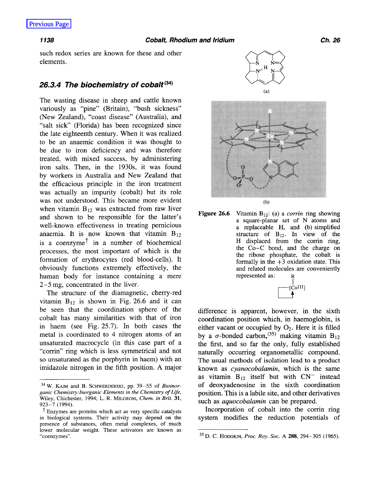such redox series are known for these and other elements.

## 26.3.4 The biochemistry of cobalt<sup>(34)</sup>

The wasting disease in sheep and cattle known variously as "pine" (Britain), "bush sickness" (New Zealand), "coast disease" (Australia), and "salt sick" (Florida) has been recognized since the late eighteenth century. When it was realized to be an anaemic condition it was thought to be due to iron deficiency and was therefore treated, with mixed success, by administering iron salts. Then, in the 1930s, it was found by workers in Australia and New Zealand that the efficacious principle in the iron treatment was actually an impurity (cobalt) but its role was not understood. This became more evident when vitamin  $B_{12}$  was extracted from raw liver<br> **Figure 26.6** Vitamin  $B_{12}$ : (a) a *corrin* ring showing and shown to be responsible for the latter's<br>well-known effectiveness in treating pernicious<br>a square-planar set of N atoms and<br>a replaceable H, and (b) simplified well-known effectiveness in treating pernicious a replaceable H, and (b) simplified anaemia. It is now known that vitamin  $B_{12}$  structure of  $B_{12}$ . In view of the anaemia. It is now known that vitamin  $B_{12}$  structure of  $B_{12}$ . In view of the is a coenzume<sup>†</sup> in a number of biochemical H displaced from the corrin ring, is a coenzyme<sup> $\dagger$ </sup> in a number of biochemical processes, the most important of which is the formation of erythrocytes (red blood-cells). It formally in the  $+3$  oxidation state. This obviously functions extremely effectively, the and related molecules are conveniently human body for instance containing a mere represented as: R 2-5 mg, concentrated in the liver.

The structure of the diamagnetic, cherry-red vitamin  $B_{12}$  is shown in Fig. 26.6 and it can be seen that the coordination sphere of the difference is apparent, however, in the sixth cobalt has many similarities with that of iron coordination position which, in haemoglobin, is in haem (see Fig. 25.7). In both cases the either vacant or occupied by  $O_2$ . Here it is filled metal is coordinated to 4 nitrogen atoms of an by a  $\sigma$ -bonded carbon,<sup>(35)</sup> making vitamin B<sub>12</sub> unsaturated macrocycle (in this case part of a<br>
"corrin" ring which is less symmetrical and not naturally occurring organometallic compound. *SO* Unsaturated as the Porphyrin in haem) With an The usual methods of isolation lead to **a** product imidazole nitrogen in the fifth position. A major known as *cyanocobalamin*, which is the same





the Co-C bond, and the charge on<br>the ribose phosphate, the cobalt is **Figure 26.6** 

> $[C<sub>0</sub>III]$  $\Box$

naturally occurring organometallic compound. as vitamin  $B_{12}$  itself but with  $CN^-$  instead <sup>34</sup> W. KAIM and B. SCHWERDERSKI, pp. 39-55 of *Bioinor-* of deoxyadenosine in the sixth coordination position. This is a labile site, and other derivatives such as *aquocobalarnin* can be prepared.

 $t_{\text{Enzymes are proteins which act as very specific catalysts}}$  Incorporation of cobalt into the corrin ring

ganic Chemistry: Inorganic Elements in the Chemistry of Life, Wiley, Chichester, 1994; L. R. MILGROM, *Chem. in Brit* **31,**  923-7 (1994).

in biological systems. Their activity may depend on the system modifies the reduction potentials of presence of substances, often metal complexes, of much lower molecular weight. These activators are known as "coenzymes".

<sup>&</sup>lt;sup>35</sup> D. C. HODGKIN, *Proc. Roy. Soc.* A **288**, 294-305 (1965).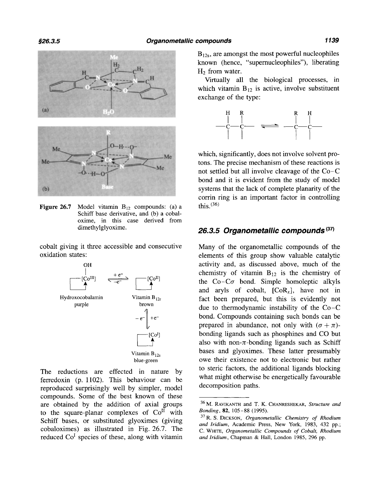

**Figure 26.7** Model vitamin  $B_{12}$  compounds: (a) a this.<sup>(36)</sup> Schiff base derivative, and (b) a cobaloxime, in this case derived from

cobalt giving it three accessible and consecutive oxidation states:



The reductions are effected in nature by ferredoxin (p. 1102). This behaviour can be reproduced surprisingly well by simpler, model compounds. Some of the best known of these to the square-planar complexes of  $Co<sup>H</sup>$  with are obtained by the addition of axial groups <sup>36</sup>M. RAVIKANTH and T. K. CHANRESHEKAR, *Structure and* Schiff bases, or substituted glyoximes (giving  $\frac{\partial f}{\partial x}$ , S. DICKSON, *Organometallic Chemistry of Rhodium*, cobaloximes) as illustrated in Fig. 26.7. The  $\frac{\partial f}{\partial y}$  with *C* water *Creapmetallic Compounds of Cobalt R* reduced  $Co<sup>I</sup>$  species of these, along with vitamin

 $B_{12s}$ , are amongst the most powerful nucleophiles known (hence, "supernucleophiles"), liberating H<sub>2</sub> from water.

Virtually all the biological processes, in which vitamin  $B_{12}$  is active, involve substituent exchange of the type:



which, significantly, does not involve solvent protons. The precise mechanism of these reactions is not settled but all involve cleavage of the Co-C bond and it is evident from the study of model systems that the lack of complete planarity of the corrin ring is an important factor in controlling

## dimethylglyoxime. **26.3.5** *Organometallic compounds* **(37)**

Many of the organometallic compounds of the elements of this group show valuable catalytic activity and, as discussed above, much of the chemistry of vitamin  $B_{12}$  is the chemistry of the  $Co-C\sigma$  bond. Simple homoleptic alkyls and aryls of cobalt,  $[CoR<sub>x</sub>]$ , have not in fact been prepared, but this is evidently not due to thermodynamic instability of the Co-C bond. Compounds containing such bonds can be prepared in abundance, not only with  $(\sigma + \pi)$ bonding ligands such as phosphines and CO but also with non- $\pi$ -bonding ligands such as Schiff bases and glyoximes. These latter presumably owe their existence not to electronic but rather to steric factors, the additional ligands blocking what might otherwise be energetically favourable decomposition paths.

*Bonding,* **82,** 105-88 (1995).

**<sup>37</sup>** R. **S.** DICKSON, *Organometallic Chemistry of Rhodium*  C. WHITE, *Organometallic Compounds of Cobalt, Rhodium and Iridium,* Chapman & Hall, London 1985, 296 pp.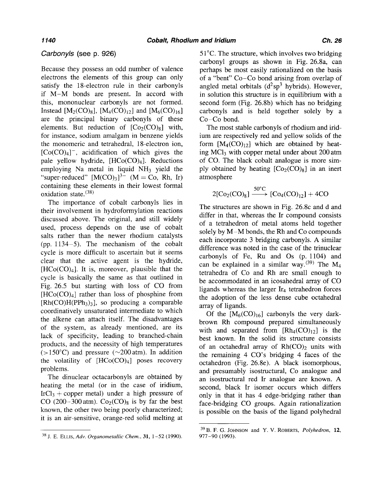## *Carbonyls (see* **p. 926)**

Because they possess an odd number of valence electrons the elements of this group can only satisfy the 18-electron rule in their carbonyls if M-M bonds are present. In accord with this, mononuclear carbonyls are not formed. Instead [ $M_2(CO)_8$ ], [ $M_4(CO)_{12}$ ] and [ $M_6(CO)_{16}$ ] are the principal binary carbonyls of these elements. But reduction of  $[Co_2(CO)_8]$  with, for instance, sodium amalgam in benzene yields the monomeric and tetrahedral, 18-electron ion,  $[Co(CO)<sub>4</sub>]$ <sup>-</sup>, acidification of which gives the pale yellow hydride,  $[HCo(CO)<sub>4</sub>].$  Reductions employing Na metal in liquid  $NH_3$  yield the "super-reduced"  $[M(CO)<sub>3</sub>]^{3-}$  (M = Co, Rh, Ir) containing these elements in their lowest formal oxidation state.(38)

The importance of cobalt carbonyls lies in their involvement in hydroformylation reactions discussed above. The original, and still widely used, process depends on the use of cobalt salts rather than the newer rhodium catalysts (pp. 1134-5). The mechanism of the cobalt cycle is more difficult to ascertain but it seems clear that the active agent is the hydride,  $[HCo(CO)<sub>4</sub>]$ . It is, moreover, plausible that the cycle is basically the same as that outlined in Fig. 26.5 but starting with loss of CO from  $[HCo(CO)<sub>4</sub>]$  rather than loss of phosphine from  $[Rh(CO)H(PPh<sub>3</sub>)<sub>3</sub>]$ , so producing a comparable coordinatively unsaturated intermediate to which the alkene can attach itself. The disadvantages of the system, as already mentioned, are its lack of specificity, leading to branched-chain products, and the necessity of high temperatures  $(>150^{\circ}C)$  and pressure ( $\sim$ 200 atm). In addition the volatility of  $[HCo(CO)_4]$  poses recovery problems.

The dinuclear octacarbonyls are obtained by heating the metal (or in the case of iridium,  $IrCl<sub>3</sub> + copper metal$  under a high pressure of CO (200-300 atm).  $Co<sub>2</sub>(CO)<sub>8</sub>$  is by far the best known, the other two being poorly characterized; it is an air-sensitive, orange-red solid melting at

38 J. E. ELLIS, *Adv. Organometallic Chem.,* **31,** 1-52 (1990).

5 1°C. The structure, which involves two bridging carbonyl groups as shown in Fig. 26.8a, can perhaps be most easily rationalized on the basis of a "bent" Co-Co bond arising from overlap of angled metal orbitals  $(d^2sp^3)$  hybrids). However, in solution this structure is in equilibrium with a second form (Fig. 26.8b) which has no bridging carbonyls and is held together solely by a  $Co-Co$  bond.

The most stable carbonyls of rhodium and iridium are respectively red and yellow solids of the form  $[M_4(CO)_{12}]$  which are obtained by heating MC13 with copper metal under about 200 atm of CO. The black cobalt analogue is more simply obtained by heating  $[Co_2(CO)_8]$  in an inert atmosphere VICI<sub>3</sub> with copper metal under about 200 atm<br>
C. The black cobalt analogue is more sim-<br>
obtained by heating  $[Co_2(CO)_8]$  in an inert<br>
sphere<br>  $2[Co_2(CO)_8] \xrightarrow{50^{\circ}C} [Co_4(CO)_{12}] + 4CO$ <br>
structures are shown in Fig. 26.8c an

$$
2[Co_2(CO)_8] \xrightarrow{50^{\circ}C} [Co_4(CO)_{12}] + 4CO
$$

The structures are shown in Fig. 26.8c and d and differ in that, whereas the Ir compound consists of a tetrahedron of metal atoms held together solely by M-M bonds, the Rh and Co compounds each incorporate 3 bridging carbonyls. A similar difference was noted in the case of the trinuclear carbonyls of Fe, Ru and Os (p. 1104) and can be explained in a similar way.<sup>(39)</sup> The M<sub>4</sub> tetrahedra of Co and Rh are small enough to be accommodated in an icosahedral array of CO ligands whereas the larger  $Ir_4$  tetrahedron forces the adoption of the less dense cube octahedral array of ligands.

Of the  $[M_6(CO)_{16}]$  carbonyls the very darkbrown Rh compound prepared simultaneously with and separated from  $[Rh_4(CO)<sub>12</sub>]$  is the best known. In the solid its structure consists of an octahedral array of  $Rh(CO)_2$  units with the remaining 4 CO's bridging 4 faces of the octahedron (Fig. 26.8e). A black isomorphous, and presumably isostructural, Co analogue and an isostructural red Ir analogue are known. A second, black Ir isomer occurs which differs only in that it has 4 edge-bridging rather than face-bridging CO groups. Again rationalization is possible on the basis of the ligand polyhedral

<sup>39</sup> B. F. G. JOHNSON **and Y.** V. ROBERTS, *Polyhedron,* **12,**  977-90 (1993).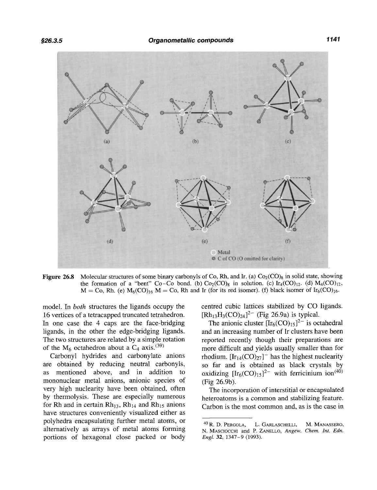

**Figure 26.8** Molecular structures of some binary carbonyls of Co, Rh, and Ir. (a)  $Co_2(CO)_8$  in solid state, showing the formation of a "bent" Co-Co bond. (b)  $Co_2(CO)_8$  in solution. (c)  $Ir_4(CO)_{12}$ . (d)  $M_4(CO)_{12}$ ,  $M = Co$ , Rh. (e)  $M_6(CO)_{16}$  M = Co, Rh and Ir (for its red isomer). (f) black isomer of Ir<sub>6</sub>(CO)<sub>16</sub>.

model. In *both* structures the ligands occupy the 16 vertices of a tetracapped truncated tetrahedron. In one case the 4 caps are the face-bridging ligands, in the other the edge-bridging ligands. The two structures are related by a simple rotation of the  $M_6$  octahedron about a  $C_4$  axis.<sup>(39)</sup>

Carbonyl hydrides and carbonylate anions are obtained by reducing neutral carbonyls, as mentioned above, and in addition to mononuclear metal anions, anionic species of very high nuclearity have been obtained, often by thermolysis. These are especially numerous for Rh and in certain  $Rh_{13}$ ,  $Rh_{14}$  and  $Rh_{15}$  anions have structures conveniently visualized either as polyhedra encapsulating further metal atoms, or alternatively as arrays of metal atoms forming portions of hexagonal close packed or body

centred cubic lattices stabilized by CO ligands.  $[Rh_{13}H_3(CO)_{24}]^{2-}$  (Fig 26.9a) is typical.

The anionic cluster  $[Ir_6(CO)_{15}]^{2-}$  is octahedral and an increasing number of Ir clusters have been reported recently though their preparations are more difficult and yields usually smaller than for rhodium.  $[\text{Ir}_{14}(\text{CO})_{27}]^-$  has the highest nuclearity so far and is obtained as black crystals by oxidizing  $[Ir_6(CO)_{15}]^{2-}$  with ferricinium ion<sup>(40)</sup> (Fig 26.9b).

The incorporation of interstitial or encapsulated heteroatoms is a common and stabilizing feature. Carbon is the most common and, as is the case in

<sup>&</sup>lt;sup>40</sup> R. D. PERGOLA, L. GARLASCHELLI, M. MANASSERO, N. MASCIOCCHI and P. ZANELLO, *Angew. Chem. Int. Edn. Engl.* **32,** 1347-9 (1993).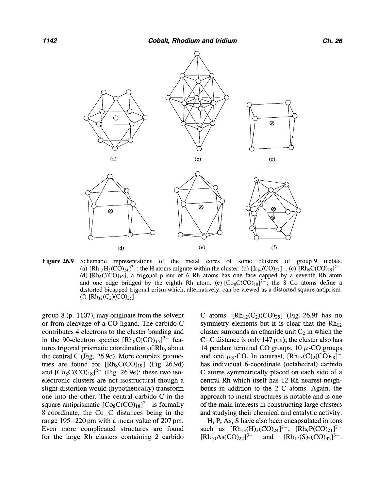

**Figure 26.9** Schematic representations of the metal cores of some clusters of group 9 metals. (a)  $[Rh_{13}H_3(CO)_{24}]^2$ ; the H atoms migrate within the cluster. (b)  $[Ir_{14}(CO)_{27}]^-$ . *(c)*  $[Rh_6C(CO)_{15}]^2$ . (d)  $[Rh_8C(CO)_{19}]$ ; a trigonal prism of 6 Rh atoms has one face capped by a seventh Rh atom and one edge bridged by the eighth Rh atom. (e)  $[Co_8C(CO)_{18}]^2$ ; the 8 Co atoms define a distorted bicapped trigonal prism which, alternatively, can be viewed as a distorted square antiprism. (f)  $[Rh_{12}(C_2)(CO)_{25}]$ .

group 8 (p. 1107), may originate from the solvent C atoms:  $[Rh_{12}(C_2)(CO)_{25}]$  (Fig. 26.9f has no or from cleavage of a CO ligand. The carbido C symmetry elements but it is clear that the  $Rh_{12}$ contributes 4 electrons to the cluster bonding and cluster surrounds an ethanide unit  $C_2$  in which the in the 90-electron species  $[Rh_6C(CO)_{15}]^{2-}$  fea-<br>C-C distance is only 147 pm); the cluster also has tures trigonal prismatic coordination of  $Rh_6$  about 14 pendant terminal CO groups, 10  $\mu$ -CO groups the central C (Fig. 26.9c). More complex geome- and one  $\mu_3$ -CO. In contrast,  $[Rh_{15}(C)_2(CO)_{28}]^$ tries are found for  $[Rh_8C(CO)_{19}]$  (Fig. 26.9d) has individual 6-coordinate (octahedral) carbido and  $[Co_8C(CO)_{18}]^{2-}$  (Fig. 26.9e): these two iso- C atoms symmetrically placed on each side of a electronic clusters are not isostructural though a central Rh which itself has 12 Rh nearest neighslight distortion would (hypothetically) transform bours in addition to the 2 C atoms. Again, the one into the other. The central carbido  $C$  in the approach to metal structures is notable and is one square antiprismatic  $[Co_8C(CO)_{18}]^2$  is formally of the main interests in constructing large clusters 8-coordinate, the Co-C distances being in the and studying their chemical and catalytic activity. range 195-220 pm with a mean value of 207 pm. H, P, As, S have also been encapsulated in ions Even more complicated structures are found such as  $[Rh_{13}(H)_{3}(CO)_{24}]^{2-}$ ,  $[Rh_{9}P(CO)_{21}]^{2-}$  for the large Rh clusters containing 2 carbido  $[Rh_{10}As(CO)_{22}]^{3-}$  and  $[Rh_{17}(S)_{2}(CO)_{32}]^{3-}$ . for the large Rh clusters containing 2 carbido

 $C-C$  distance is only 147 pm); the cluster also has